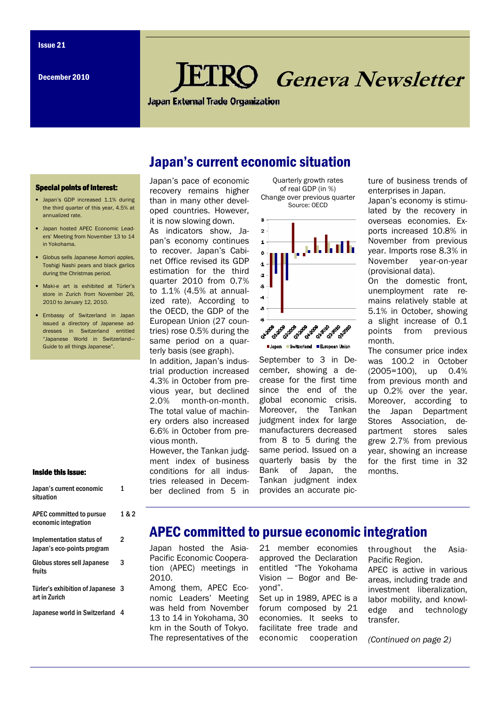# **KO** Geneva Newsletter

**Japan External Trade Organization** 

## Japan's current economic situation

#### **Special points of interest:**

- Japan's GDP increased 1.1% during the third quarter of this year, 4.5% at annualized rate.
- Japan hosted APEC Economic Leaders' Meeting from November 13 to 14 in Yokohama.
- Globus sells Japanese Aomori apples, Toshigi Nashi pears and black garlics during the Christmas period.
- Maki-e art is exhibited at Türler's store in Zurich from November 26, 2010 to January 12, 2010.
- Embassy of Switzerland in Japan issued a directory of Japanese addresses in Switzerland entitled "Japanese World in Switzerland— Guide to all things Japanese".

#### Inside this issue:

| Japan's current economic<br>situation                  | 1     |
|--------------------------------------------------------|-------|
| APEC committed to pursue<br>economic integration       | 1 & 2 |
| Implementation status of<br>Japan's eco-points program | 2     |
| <b>Globus stores sell Japanese</b><br>fruits           | 3     |
| Türler's exhibition of Japanese<br>art in Zurich       | -3    |
| Japanese world in Switzerland                          | 4     |
|                                                        |       |

Japan's pace of economic recovery remains higher than in many other developed countries. However, it is now slowing down.

As indicators show, Japan's economy continues to recover. Japan's Cabinet Office revised its GDP estimation for the third quarter 2010 from 0.7% to 1.1% (4.5% at annualized rate). According to the OECD, the GDP of the European Union (27 countries) rose 0.5% during the same period on a quarterly basis (see graph).

In addition, Japan's industrial production increased 4.3% in October from previous year, but declined 2.0% month-on-month. The total value of machinery orders also increased 6.6% in October from previous month.

However, the Tankan judgment index of business conditions for all industries released in December declined from 5 in

Quarterly growth rates of real GDP (in %) Change over previous quarter Source: OECD



Switzerland European Union

September to 3 in December, showing a decrease for the first time since the end of the global economic crisis. Moreover, the Tankan judgment index for large manufacturers decreased from 8 to 5 during the same period. Issued on a quarterly basis by the Bank of Japan, the Tankan judgment index provides an accurate picture of business trends of enterprises in Japan.

Japan's economy is stimulated by the recovery in overseas economies. Exports increased 10.8% in November from previous year. Imports rose 8.3% in November year-on-year (provisional data).

On the domestic front, unemployment rate remains relatively stable at 5.1% in October, showing a slight increase of 0.1 points from previous month.

The consumer price index was 100.2 in October (2005=100), up 0.4% from previous month and up 0.2% over the year. Moreover, according to the Japan Department Stores Association, department stores sales grew 2.7% from previous year, showing an increase for the first time in 32 months.

## APEC committed to pursue economic integration

Japan hosted the Asia-Pacific Economic Cooperation (APEC) meetings in 2010.

Among them, APEC Economic Leaders' Meeting was held from November 13 to 14 in Yokohama, 30 km in the South of Tokyo. The representatives of the

21 member economies approved the Declaration entitled "The Yokohama Vision — Bogor and Beyond".

Set up in 1989, APEC is a forum composed by 21 economies. It seeks to facilitate free trade and economic cooperation

throughout the Asia-Pacific Region. APEC is active in various areas, including trade and investment liberalization, labor mobility, and knowledge and technology transfer.

(Continued on page 2)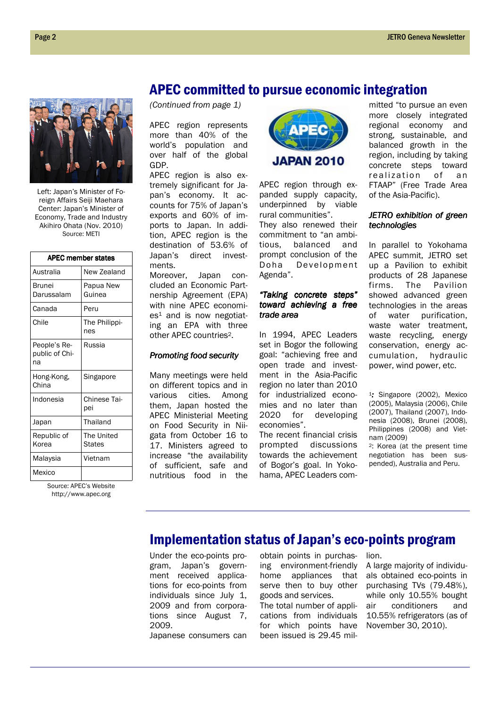Left: Japan's Minister of Foreign Affairs Seiji Maehara Center: Japan's Minister of Economy, Trade and Industry Akihiro Ohata (Nov. 2010) Source: METI

| <b>APEC member states</b>            |                      |  |
|--------------------------------------|----------------------|--|
| Australia                            | New Zealand          |  |
| Brunei<br>Darussalam                 | Papua New<br>Guinea  |  |
| Canada                               | Peru                 |  |
| Chile                                | The Philippi-<br>nes |  |
| People's Re-<br>public of Chi-<br>na | Russia               |  |
| Hong-Kong,<br>China                  | Singapore            |  |
| Indonesia                            | Chinese Tai-<br>pei  |  |
| Japan                                | Thailand             |  |
| Republic of<br>Korea                 | The United<br>States |  |
| Malaysia                             | Vietnam              |  |
| Mexico                               |                      |  |

Source: APEC's Website http://www.apec.org

(Continued from page 1)

APEC region represents more than 40% of the world's population and over half of the global GDP.

APEC region is also extremely significant for Japan's economy. It accounts for 75% of Japan's exports and 60% of imports to Japan. In addition, APEC region is the destination of 53.6% of Japan's direct investments.

Moreover, Japan concluded an Economic Partnership Agreement (EPA) with nine APEC economi $es<sup>1</sup>$  and is now negotiating an EPA with three other APEC countries2.

#### Promoting food security

Many meetings were held on different topics and in various cities. Among them, Japan hosted the APEC Ministerial Meeting on Food Security in Niigata from October 16 to 17. Ministers agreed to increase "the availability of sufficient, safe and nutritious food in the



APEC region through expanded supply capacity, underpinned by viable rural communities". They also renewed their commitment to "an ambitious, balanced and prompt conclusion of the Doha Development Agenda".

#### "Taking concrete steps" toward achieving a free trade area

In 1994, APEC Leaders set in Bogor the following goal: "achieving free and open trade and investment in the Asia-Pacific region no later than 2010 for industrialized economies and no later than 2020 for developing economies".

The recent financial crisis prompted discussions towards the achievement of Bogor's goal. In Yokohama, APEC Leaders committed "to pursue an even more closely integrated regional economy and strong, sustainable, and balanced growth in the region, including by taking concrete steps toward realization of an FTAAP" (Free Trade Area of the Asia-Pacific).

#### JETRO exhibition of green technologies

In parallel to Yokohama APEC summit, JETRO set up a Pavilion to exhibit products of 28 Japanese firms. The Pavilion showed advanced green technologies in the areas of water purification, waste water treatment, waste recycling, energy conservation, energy accumulation, hydraulic power, wind power, etc.

<sup>1</sup>: Singapore (2002), Mexico (2005), Malaysia (2006), Chile (2007), Thailand (2007), Indonesia (2008), Brunei (2008), Philippines (2008) and Vietnam (2009)

<sup>2</sup>: Korea (at the present time negotiation has been suspended), Australia and Peru.

## Implementation status of Japan's eco-points program

Under the eco-points program, Japan's government received applications for eco-points from individuals since July 1, 2009 and from corporations since August 7, 2009.

Japanese consumers can

obtain points in purchasing environment-friendly home appliances that serve then to buy other goods and services. The total number of applications from individuals for which points have

been issued is 29.45 mil-

lion.

A large majority of individuals obtained eco-points in purchasing TVs (79.48%), while only 10.55% bought air conditioners and 10.55% refrigerators (as of November 30, 2010).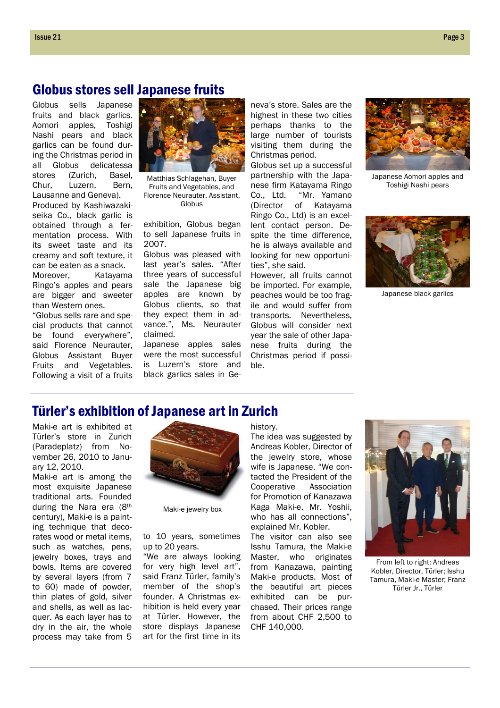### Globus stores sell Japanese fruits

Globus sells Japanese fruits and black garlics. Aomori apples, Toshigi Nashi pears and black garlics can be found during the Christmas period in all Globus delicatessa stores (Zurich, Basel, Chur, Luzern, Bern, Lausanne and Geneva). Produced by Kashiwazakiseika Co., black garlic is obtained through a fermentation process. With its sweet taste and its creamy and soft texture, it can be eaten as a snack.

Moreover, Katayama Ringo's apples and pears are bigger and sweeter than Western ones.

"Globus sells rare and special products that cannot be found everywhere", said Florence Neurauter, Globus Assistant Buyer Fruits and Vegetables. Following a visit of a fruits



Matthias Schlagehan, Buyer Fruits and Vegetables, and Florence Neurauter, Assistant, Globus

exhibition, Globus began to sell Japanese fruits in 2007.

Globus was pleased with last year's sales. "After three years of successful sale the Japanese big apples are known by Globus clients, so that they expect them in advance.", Ms. Neurauter claimed.

Japanese apples sales were the most successful is Luzern's store and black garlics sales in Ge-

neva's store. Sales are the highest in these two cities perhaps thanks to the large number of tourists visiting them during the Christmas period.

Globus set up a successful partnership with the Japanese firm Katayama Ringo Co., Ltd. "Mr. Yamano (Director of Katayama Ringo Co., Ltd) is an excellent contact person. Despite the time difference, he is always available and looking for new opportunities", she said.

However, all fruits cannot be imported. For example, peaches would be too fragile and would suffer from transports. Nevertheless, Globus will consider next year the sale of other Japanese fruits during the Christmas period if possible.



Japanese Aomori apples and Toshigi Nashi pears



Japanese black garlics

## Türler's exhibition of Japanese art in Zurich

Maki-e art is exhibited at Türler's store in Zurich (Paradeplatz) from November 26, 2010 to January 12, 2010.

Maki-e art is among the most exquisite Japanese traditional arts. Founded during the Nara era (8th century), Maki-e is a painting technique that decorates wood or metal items, such as watches, pens, jewelry boxes, trays and bowls. Items are covered by several layers (from 7 to 60) made of powder, thin plates of gold, silver and shells, as well as lacquer. As each layer has to dry in the air, the whole process may take from 5



Maki-e jewelry box

to 10 years, sometimes up to 20 years.

"We are always looking for very high level art", said Franz Türler, family's member of the shop's founder. A Christmas exhibition is held every year at Türler. However, the store displays Japanese art for the first time in its

history.

The idea was suggested by Andreas Kobler, Director of the jewelry store, whose wife is Japanese. "We contacted the President of the Cooperative Association for Promotion of Kanazawa Kaga Maki-e, Mr. Yoshii, who has all connections", explained Mr. Kobler.

The visitor can also see Isshu Tamura, the Maki-e Master, who originates from Kanazawa, painting Maki-e products. Most of the beautiful art pieces exhibited can be purchased. Their prices range from about CHF 2,500 to CHF 140,000.



From left to right: Andreas Kobler, Director, Türler; Isshu Tamura, Maki-e Master; Franz Türler Jr., Türler